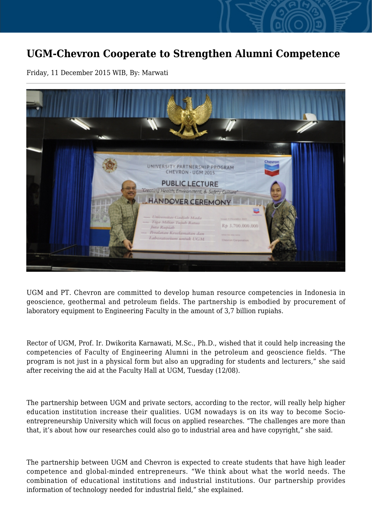## **UGM-Chevron Cooperate to Strengthen Alumni Competence**

Friday, 11 December 2015 WIB, By: Marwati



UGM and PT. Chevron are committed to develop human resource competencies in Indonesia in geoscience, geothermal and petroleum fields. The partnership is embodied by procurement of laboratory equipment to Engineering Faculty in the amount of 3,7 billion rupiahs.

Rector of UGM, Prof. Ir. Dwikorita Karnawati, M.Sc., Ph.D., wished that it could help increasing the competencies of Faculty of Engineering Alumni in the petroleum and geoscience fields. "The program is not just in a physical form but also an upgrading for students and lecturers," she said after receiving the aid at the Faculty Hall at UGM, Tuesday (12/08).

The partnership between UGM and private sectors, according to the rector, will really help higher education institution increase their qualities. UGM nowadays is on its way to become Socioentrepreneurship University which will focus on applied researches. "The challenges are more than that, it's about how our researches could also go to industrial area and have copyright," she said.

The partnership between UGM and Chevron is expected to create students that have high leader competence and global-minded entrepreneurs. "We think about what the world needs. The combination of educational institutions and industrial institutions. Our partnership provides information of technology needed for industrial field," she explained.